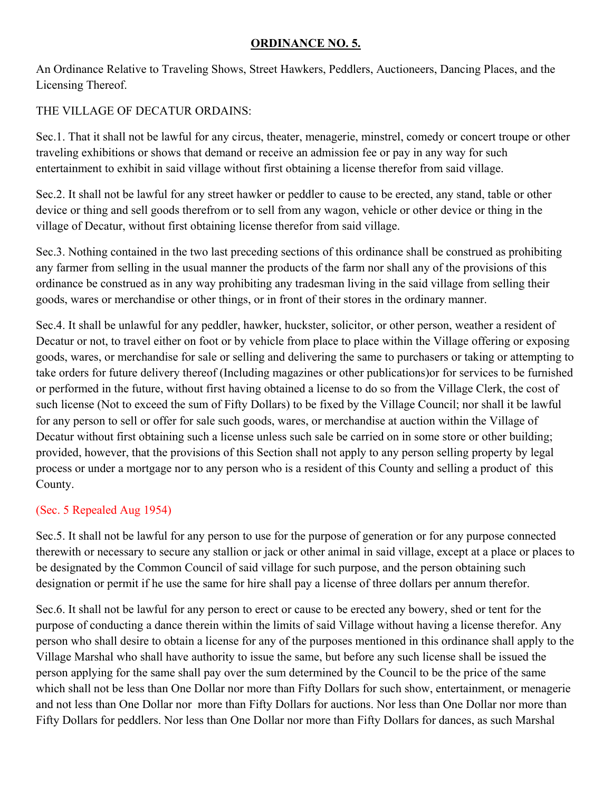## **ORDINANCE NO. 5.**

An Ordinance Relative to Traveling Shows, Street Hawkers, Peddlers, Auctioneers, Dancing Places, and the Licensing Thereof.

## THE VILLAGE OF DECATUR ORDAINS:

Sec.1. That it shall not be lawful for any circus, theater, menagerie, minstrel, comedy or concert troupe or other traveling exhibitions or shows that demand or receive an admission fee or pay in any way for such entertainment to exhibit in said village without first obtaining a license therefor from said village.

Sec.2. It shall not be lawful for any street hawker or peddler to cause to be erected, any stand, table or other device or thing and sell goods therefrom or to sell from any wagon, vehicle or other device or thing in the village of Decatur, without first obtaining license therefor from said village.

Sec.3. Nothing contained in the two last preceding sections of this ordinance shall be construed as prohibiting any farmer from selling in the usual manner the products of the farm nor shall any of the provisions of this ordinance be construed as in any way prohibiting any tradesman living in the said village from selling their goods, wares or merchandise or other things, or in front of their stores in the ordinary manner.

Sec.4. It shall be unlawful for any peddler, hawker, huckster, solicitor, or other person, weather a resident of Decatur or not, to travel either on foot or by vehicle from place to place within the Village offering or exposing goods, wares, or merchandise for sale or selling and delivering the same to purchasers or taking or attempting to take orders for future delivery thereof (Including magazines or other publications)or for services to be furnished or performed in the future, without first having obtained a license to do so from the Village Clerk, the cost of such license (Not to exceed the sum of Fifty Dollars) to be fixed by the Village Council; nor shall it be lawful for any person to sell or offer for sale such goods, wares, or merchandise at auction within the Village of Decatur without first obtaining such a license unless such sale be carried on in some store or other building; provided, however, that the provisions of this Section shall not apply to any person selling property by legal process or under a mortgage nor to any person who is a resident of this County and selling a product of this County.

## (Sec. 5 Repealed Aug 1954)

Sec.5. It shall not be lawful for any person to use for the purpose of generation or for any purpose connected therewith or necessary to secure any stallion or jack or other animal in said village, except at a place or places to be designated by the Common Council of said village for such purpose, and the person obtaining such designation or permit if he use the same for hire shall pay a license of three dollars per annum therefor.

Sec.6. It shall not be lawful for any person to erect or cause to be erected any bowery, shed or tent for the purpose of conducting a dance therein within the limits of said Village without having a license therefor. Any person who shall desire to obtain a license for any of the purposes mentioned in this ordinance shall apply to the Village Marshal who shall have authority to issue the same, but before any such license shall be issued the person applying for the same shall pay over the sum determined by the Council to be the price of the same which shall not be less than One Dollar nor more than Fifty Dollars for such show, entertainment, or menagerie and not less than One Dollar nor more than Fifty Dollars for auctions. Nor less than One Dollar nor more than Fifty Dollars for peddlers. Nor less than One Dollar nor more than Fifty Dollars for dances, as such Marshal